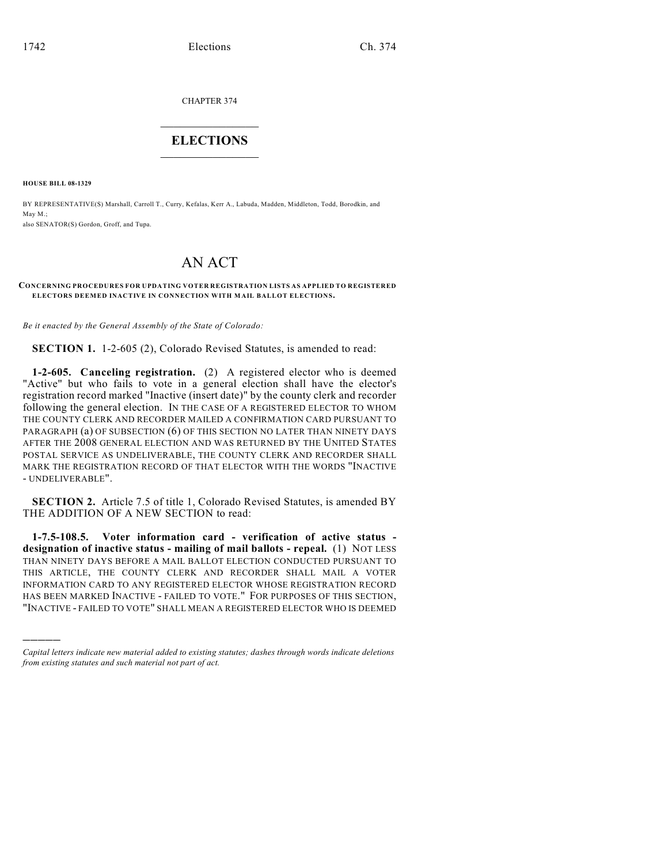CHAPTER 374

## $\overline{\phantom{a}}$  . The set of the set of the set of the set of the set of the set of the set of the set of the set of the set of the set of the set of the set of the set of the set of the set of the set of the set of the set o **ELECTIONS**  $\_$

**HOUSE BILL 08-1329**

)))))

BY REPRESENTATIVE(S) Marshall, Carroll T., Curry, Kefalas, Kerr A., Labuda, Madden, Middleton, Todd, Borodkin, and May M.; also SENATOR(S) Gordon, Groff, and Tupa.

## AN ACT

## **CONCERNING PROCEDURES FOR UPDATING VOTER REGISTRATION LISTS AS APPLIED TO REGISTERED ELECTORS DEEMED INACTIVE IN CONNECTION WITH MAIL BALLOT ELECTIONS.**

*Be it enacted by the General Assembly of the State of Colorado:*

**SECTION 1.** 1-2-605 (2), Colorado Revised Statutes, is amended to read:

**1-2-605. Canceling registration.** (2) A registered elector who is deemed "Active" but who fails to vote in a general election shall have the elector's registration record marked "Inactive (insert date)" by the county clerk and recorder following the general election. IN THE CASE OF A REGISTERED ELECTOR TO WHOM THE COUNTY CLERK AND RECORDER MAILED A CONFIRMATION CARD PURSUANT TO PARAGRAPH (a) OF SUBSECTION (6) OF THIS SECTION NO LATER THAN NINETY DAYS AFTER THE 2008 GENERAL ELECTION AND WAS RETURNED BY THE UNITED STATES POSTAL SERVICE AS UNDELIVERABLE, THE COUNTY CLERK AND RECORDER SHALL MARK THE REGISTRATION RECORD OF THAT ELECTOR WITH THE WORDS "INACTIVE - UNDELIVERABLE".

**SECTION 2.** Article 7.5 of title 1, Colorado Revised Statutes, is amended BY THE ADDITION OF A NEW SECTION to read:

**1-7.5-108.5. Voter information card - verification of active status designation of inactive status - mailing of mail ballots - repeal.** (1) NOT LESS THAN NINETY DAYS BEFORE A MAIL BALLOT ELECTION CONDUCTED PURSUANT TO THIS ARTICLE, THE COUNTY CLERK AND RECORDER SHALL MAIL A VOTER INFORMATION CARD TO ANY REGISTERED ELECTOR WHOSE REGISTRATION RECORD HAS BEEN MARKED INACTIVE - FAILED TO VOTE." FOR PURPOSES OF THIS SECTION, "INACTIVE - FAILED TO VOTE" SHALL MEAN A REGISTERED ELECTOR WHO IS DEEMED

*Capital letters indicate new material added to existing statutes; dashes through words indicate deletions from existing statutes and such material not part of act.*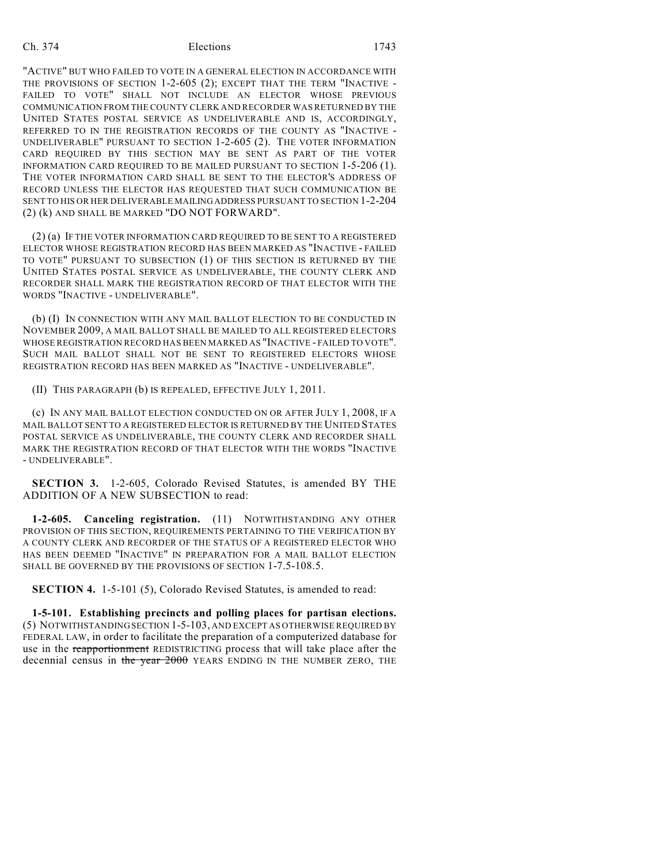## Ch. 374 Elections 1743

"ACTIVE" BUT WHO FAILED TO VOTE IN A GENERAL ELECTION IN ACCORDANCE WITH THE PROVISIONS OF SECTION 1-2-605 (2); EXCEPT THAT THE TERM "INACTIVE - FAILED TO VOTE" SHALL NOT INCLUDE AN ELECTOR WHOSE PREVIOUS COMMUNICATION FROM THE COUNTY CLERK AND RECORDER WAS RETURNED BY THE UNITED STATES POSTAL SERVICE AS UNDELIVERABLE AND IS, ACCORDINGLY, REFERRED TO IN THE REGISTRATION RECORDS OF THE COUNTY AS "INACTIVE - UNDELIVERABLE" PURSUANT TO SECTION 1-2-605 (2). THE VOTER INFORMATION CARD REQUIRED BY THIS SECTION MAY BE SENT AS PART OF THE VOTER INFORMATION CARD REQUIRED TO BE MAILED PURSUANT TO SECTION 1-5-206 (1). THE VOTER INFORMATION CARD SHALL BE SENT TO THE ELECTOR'S ADDRESS OF RECORD UNLESS THE ELECTOR HAS REQUESTED THAT SUCH COMMUNICATION BE SENT TO HIS OR HER DELIVERABLE MAILING ADDRESS PURSUANT TO SECTION 1-2-204 (2) (k) AND SHALL BE MARKED "DO NOT FORWARD".

(2) (a) IF THE VOTER INFORMATION CARD REQUIRED TO BE SENT TO A REGISTERED ELECTOR WHOSE REGISTRATION RECORD HAS BEEN MARKED AS "INACTIVE - FAILED TO VOTE" PURSUANT TO SUBSECTION (1) OF THIS SECTION IS RETURNED BY THE UNITED STATES POSTAL SERVICE AS UNDELIVERABLE, THE COUNTY CLERK AND RECORDER SHALL MARK THE REGISTRATION RECORD OF THAT ELECTOR WITH THE WORDS "INACTIVE - UNDELIVERABLE".

(b) (I) IN CONNECTION WITH ANY MAIL BALLOT ELECTION TO BE CONDUCTED IN NOVEMBER 2009, A MAIL BALLOT SHALL BE MAILED TO ALL REGISTERED ELECTORS WHOSE REGISTRATION RECORD HAS BEEN MARKED AS "INACTIVE - FAILED TO VOTE". SUCH MAIL BALLOT SHALL NOT BE SENT TO REGISTERED ELECTORS WHOSE REGISTRATION RECORD HAS BEEN MARKED AS "INACTIVE - UNDELIVERABLE".

(II) THIS PARAGRAPH (b) IS REPEALED, EFFECTIVE JULY 1, 2011.

(c) IN ANY MAIL BALLOT ELECTION CONDUCTED ON OR AFTER JULY 1, 2008, IF A MAIL BALLOT SENT TO A REGISTERED ELECTOR IS RETURNED BY THE UNITED STATES POSTAL SERVICE AS UNDELIVERABLE, THE COUNTY CLERK AND RECORDER SHALL MARK THE REGISTRATION RECORD OF THAT ELECTOR WITH THE WORDS "INACTIVE - UNDELIVERABLE".

**SECTION 3.** 1-2-605, Colorado Revised Statutes, is amended BY THE ADDITION OF A NEW SUBSECTION to read:

**1-2-605. Canceling registration.** (11) NOTWITHSTANDING ANY OTHER PROVISION OF THIS SECTION, REQUIREMENTS PERTAINING TO THE VERIFICATION BY A COUNTY CLERK AND RECORDER OF THE STATUS OF A REGISTERED ELECTOR WHO HAS BEEN DEEMED "INACTIVE" IN PREPARATION FOR A MAIL BALLOT ELECTION SHALL BE GOVERNED BY THE PROVISIONS OF SECTION 1-7.5-108.5.

**SECTION 4.** 1-5-101 (5), Colorado Revised Statutes, is amended to read:

**1-5-101. Establishing precincts and polling places for partisan elections.** (5) NOTWITHSTANDING SECTION 1-5-103, AND EXCEPT AS OTHERWISE REQUIRED BY FEDERAL LAW, in order to facilitate the preparation of a computerized database for use in the reapportionment REDISTRICTING process that will take place after the decennial census in the year 2000 YEARS ENDING IN THE NUMBER ZERO, THE